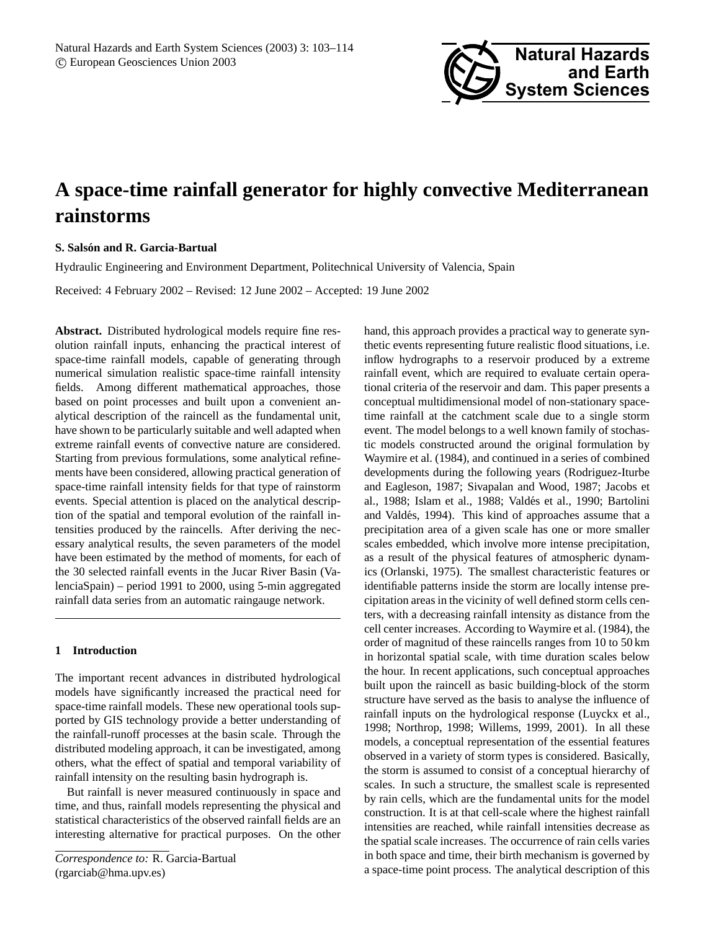

# **A space-time rainfall generator for highly convective Mediterranean rainstorms**

# **S. Salson and R. Garcia-Bartual ´**

Hydraulic Engineering and Environment Department, Politechnical University of Valencia, Spain

Received: 4 February 2002 – Revised: 12 June 2002 – Accepted: 19 June 2002

**Abstract.** Distributed hydrological models require fine resolution rainfall inputs, enhancing the practical interest of space-time rainfall models, capable of generating through numerical simulation realistic space-time rainfall intensity fields. Among different mathematical approaches, those based on point processes and built upon a convenient analytical description of the raincell as the fundamental unit, have shown to be particularly suitable and well adapted when extreme rainfall events of convective nature are considered. Starting from previous formulations, some analytical refinements have been considered, allowing practical generation of space-time rainfall intensity fields for that type of rainstorm events. Special attention is placed on the analytical description of the spatial and temporal evolution of the rainfall intensities produced by the raincells. After deriving the necessary analytical results, the seven parameters of the model have been estimated by the method of moments, for each of the 30 selected rainfall events in the Jucar River Basin (ValenciaSpain) – period 1991 to 2000, using 5-min aggregated rainfall data series from an automatic raingauge network.

## **1 Introduction**

The important recent advances in distributed hydrological models have significantly increased the practical need for space-time rainfall models. These new operational tools supported by GIS technology provide a better understanding of the rainfall-runoff processes at the basin scale. Through the distributed modeling approach, it can be investigated, among others, what the effect of spatial and temporal variability of rainfall intensity on the resulting basin hydrograph is.

But rainfall is never measured continuously in space and time, and thus, rainfall models representing the physical and statistical characteristics of the observed rainfall fields are an interesting alternative for practical purposes. On the other

hand, this approach provides a practical way to generate synthetic events representing future realistic flood situations, i.e. inflow hydrographs to a reservoir produced by a extreme rainfall event, which are required to evaluate certain operational criteria of the reservoir and dam. This paper presents a conceptual multidimensional model of non-stationary spacetime rainfall at the catchment scale due to a single storm event. The model belongs to a well known family of stochastic models constructed around the original formulation by Waymire et al. (1984), and continued in a series of combined developments during the following years (Rodriguez-Iturbe and Eagleson, 1987; Sivapalan and Wood, 1987; Jacobs et al., 1988; Islam et al., 1988; Valdés et al., 1990; Bartolini and Valdés, 1994). This kind of approaches assume that a precipitation area of a given scale has one or more smaller scales embedded, which involve more intense precipitation, as a result of the physical features of atmospheric dynamics (Orlanski, 1975). The smallest characteristic features or identifiable patterns inside the storm are locally intense precipitation areas in the vicinity of well defined storm cells centers, with a decreasing rainfall intensity as distance from the cell center increases. According to Waymire et al. (1984), the order of magnitud of these raincells ranges from 10 to 50 km in horizontal spatial scale, with time duration scales below the hour. In recent applications, such conceptual approaches built upon the raincell as basic building-block of the storm structure have served as the basis to analyse the influence of rainfall inputs on the hydrological response (Luyckx et al., 1998; Northrop, 1998; Willems, 1999, 2001). In all these models, a conceptual representation of the essential features observed in a variety of storm types is considered. Basically, the storm is assumed to consist of a conceptual hierarchy of scales. In such a structure, the smallest scale is represented by rain cells, which are the fundamental units for the model construction. It is at that cell-scale where the highest rainfall intensities are reached, while rainfall intensities decrease as the spatial scale increases. The occurrence of rain cells varies in both space and time, their birth mechanism is governed by a space-time point process. The analytical description of this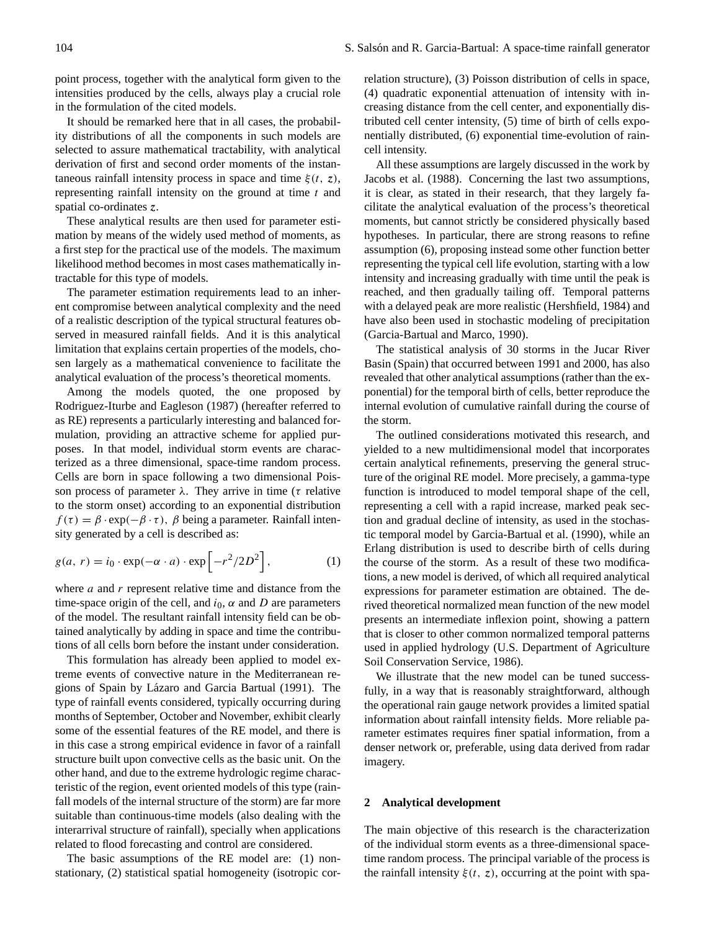point process, together with the analytical form given to the intensities produced by the cells, always play a crucial role in the formulation of the cited models.

It should be remarked here that in all cases, the probability distributions of all the components in such models are selected to assure mathematical tractability, with analytical derivation of first and second order moments of the instantaneous rainfall intensity process in space and time  $\xi(t, z)$ , representing rainfall intensity on the ground at time  $t$  and spatial co-ordinates z.

These analytical results are then used for parameter estimation by means of the widely used method of moments, as a first step for the practical use of the models. The maximum likelihood method becomes in most cases mathematically intractable for this type of models.

The parameter estimation requirements lead to an inherent compromise between analytical complexity and the need of a realistic description of the typical structural features observed in measured rainfall fields. And it is this analytical limitation that explains certain properties of the models, chosen largely as a mathematical convenience to facilitate the analytical evaluation of the process's theoretical moments.

Among the models quoted, the one proposed by Rodriguez-Iturbe and Eagleson (1987) (hereafter referred to as RE) represents a particularly interesting and balanced formulation, providing an attractive scheme for applied purposes. In that model, individual storm events are characterized as a three dimensional, space-time random process. Cells are born in space following a two dimensional Poisson process of parameter  $\lambda$ . They arrive in time ( $\tau$  relative to the storm onset) according to an exponential distribution  $f(\tau) = \beta \cdot \exp(-\beta \cdot \tau)$ ,  $\beta$  being a parameter. Rainfall intensity generated by a cell is described as:

$$
g(a, r) = i_0 \cdot \exp(-\alpha \cdot a) \cdot \exp\left[-r^2/2D^2\right],\tag{1}
$$

where  $a$  and  $r$  represent relative time and distance from the time-space origin of the cell, and  $i_0$ ,  $\alpha$  and  $D$  are parameters of the model. The resultant rainfall intensity field can be obtained analytically by adding in space and time the contributions of all cells born before the instant under consideration.

This formulation has already been applied to model extreme events of convective nature in the Mediterranean regions of Spain by Lázaro and Garcia Bartual (1991). The type of rainfall events considered, typically occurring during months of September, October and November, exhibit clearly some of the essential features of the RE model, and there is in this case a strong empirical evidence in favor of a rainfall structure built upon convective cells as the basic unit. On the other hand, and due to the extreme hydrologic regime characteristic of the region, event oriented models of this type (rainfall models of the internal structure of the storm) are far more suitable than continuous-time models (also dealing with the interarrival structure of rainfall), specially when applications related to flood forecasting and control are considered.

The basic assumptions of the RE model are: (1) nonstationary, (2) statistical spatial homogeneity (isotropic correlation structure), (3) Poisson distribution of cells in space, (4) quadratic exponential attenuation of intensity with increasing distance from the cell center, and exponentially distributed cell center intensity, (5) time of birth of cells exponentially distributed, (6) exponential time-evolution of raincell intensity.

All these assumptions are largely discussed in the work by Jacobs et al. (1988). Concerning the last two assumptions, it is clear, as stated in their research, that they largely facilitate the analytical evaluation of the process's theoretical moments, but cannot strictly be considered physically based hypotheses. In particular, there are strong reasons to refine assumption (6), proposing instead some other function better representing the typical cell life evolution, starting with a low intensity and increasing gradually with time until the peak is reached, and then gradually tailing off. Temporal patterns with a delayed peak are more realistic (Hershfield, 1984) and have also been used in stochastic modeling of precipitation (Garcia-Bartual and Marco, 1990).

The statistical analysis of 30 storms in the Jucar River Basin (Spain) that occurred between 1991 and 2000, has also revealed that other analytical assumptions (rather than the exponential) for the temporal birth of cells, better reproduce the internal evolution of cumulative rainfall during the course of the storm.

The outlined considerations motivated this research, and yielded to a new multidimensional model that incorporates certain analytical refinements, preserving the general structure of the original RE model. More precisely, a gamma-type function is introduced to model temporal shape of the cell, representing a cell with a rapid increase, marked peak section and gradual decline of intensity, as used in the stochastic temporal model by Garcia-Bartual et al. (1990), while an Erlang distribution is used to describe birth of cells during the course of the storm. As a result of these two modifications, a new model is derived, of which all required analytical expressions for parameter estimation are obtained. The derived theoretical normalized mean function of the new model presents an intermediate inflexion point, showing a pattern that is closer to other common normalized temporal patterns used in applied hydrology (U.S. Department of Agriculture Soil Conservation Service, 1986).

We illustrate that the new model can be tuned successfully, in a way that is reasonably straightforward, although the operational rain gauge network provides a limited spatial information about rainfall intensity fields. More reliable parameter estimates requires finer spatial information, from a denser network or, preferable, using data derived from radar imagery.

#### **2 Analytical development**

The main objective of this research is the characterization of the individual storm events as a three-dimensional spacetime random process. The principal variable of the process is the rainfall intensity  $\xi(t, z)$ , occurring at the point with spa-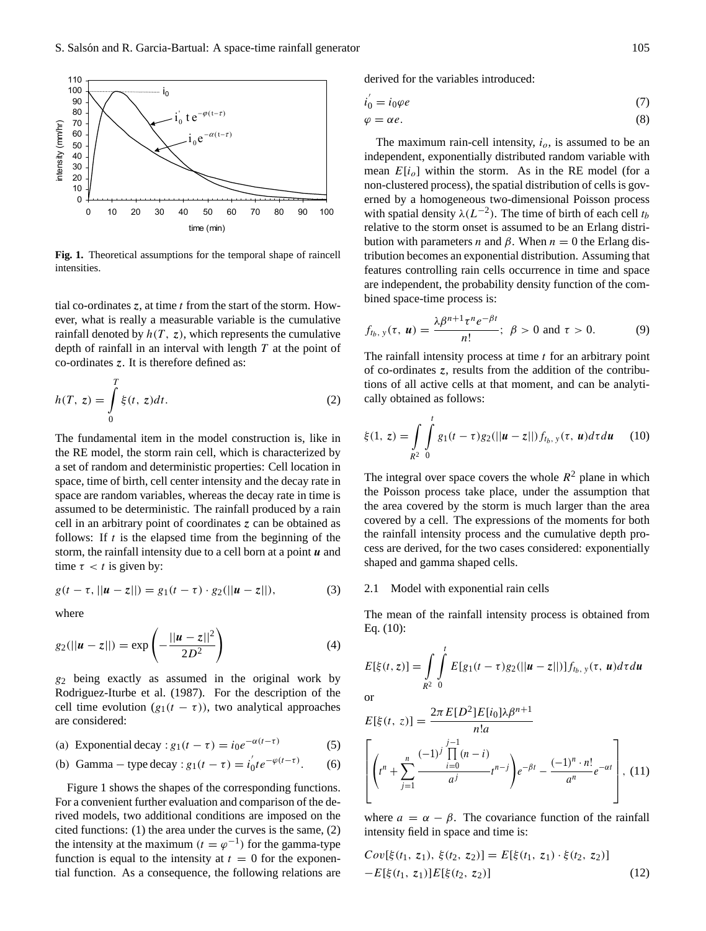

**Fig. 1.** Theoretical assumptions for the temporal shape of raincell intensities.

tial co-ordinates  $z$ , at time  $t$  from the start of the storm. However, what is really a measurable variable is the cumulative rainfall denoted by  $h(T, z)$ , which represents the cumulative depth of rainfall in an interval with length  $T$  at the point of co-ordinates z. It is therefore defined as:

$$
h(T, z) = \int_{0}^{T} \xi(t, z)dt.
$$
 (2)

The fundamental item in the model construction is, like in the RE model, the storm rain cell, which is characterized by a set of random and deterministic properties: Cell location in space, time of birth, cell center intensity and the decay rate in space are random variables, whereas the decay rate in time is assumed to be deterministic. The rainfall produced by a rain cell in an arbitrary point of coordinates z can be obtained as follows: If  $t$  is the elapsed time from the beginning of the storm, the rainfall intensity due to a cell born at a point  $\boldsymbol{u}$  and time  $\tau < t$  is given by:

$$
g(t - \tau, ||u - z||) = g_1(t - \tau) \cdot g_2(||u - z||), \tag{3}
$$

where

$$
g_2(||u-z||) = \exp\left(-\frac{||u-z||^2}{2D^2}\right) \tag{4}
$$

 $g_2$  being exactly as assumed in the original work by Rodriguez-Iturbe et al. (1987). For the description of the cell time evolution  $(g_1(t - \tau))$ , two analytical approaches are considered:

(a) Exponential decay :  $g_1(t - \tau) = i_0 e^{-\alpha(t-\tau)}$  (5)

(b) Gamma – type decay : 
$$
g_1(t - \tau) = i'_0 t e^{-\varphi(t-\tau)}
$$
. (6)

Figure 1 shows the shapes of the corresponding functions. For a convenient further evaluation and comparison of the derived models, two additional conditions are imposed on the cited functions: (1) the area under the curves is the same, (2) the intensity at the maximum  $(t = \varphi^{-1})$  for the gamma-type function is equal to the intensity at  $t = 0$  for the exponential function. As a consequence, the following relations are derived for the variables introduced:

$$
i_0^{'} = i_0 \varphi e \tag{7}
$$

$$
\varphi = \alpha e. \tag{8}
$$

The maximum rain-cell intensity,  $i<sub>o</sub>$ , is assumed to be an independent, exponentially distributed random variable with mean  $E[i_0]$  within the storm. As in the RE model (for a non-clustered process), the spatial distribution of cells is governed by a homogeneous two-dimensional Poisson process with spatial density  $\lambda(L^{-2})$ . The time of birth of each cell  $t_b$ relative to the storm onset is assumed to be an Erlang distribution with parameters *n* and  $\beta$ . When  $n = 0$  the Erlang distribution becomes an exponential distribution. Assuming that features controlling rain cells occurrence in time and space are independent, the probability density function of the combined space-time process is:

$$
f_{t_b, y}(\tau, \mathbf{u}) = \frac{\lambda \beta^{n+1} \tau^n e^{-\beta t}}{n!}; \ \beta > 0 \text{ and } \tau > 0. \tag{9}
$$

The rainfall intensity process at time  $t$  for an arbitrary point of co-ordinates z, results from the addition of the contributions of all active cells at that moment, and can be analytically obtained as follows:

$$
\xi(1, z) = \int_{R^2} \int_{0}^{t} g_1(t - \tau) g_2(||\boldsymbol{u} - z||) f_{t_b, y}(\tau, \boldsymbol{u}) d\tau du \qquad (10)
$$

The integral over space covers the whole  $R^2$  plane in which the Poisson process take place, under the assumption that the area covered by the storm is much larger than the area covered by a cell. The expressions of the moments for both the rainfall intensity process and the cumulative depth process are derived, for the two cases considered: exponentially shaped and gamma shaped cells.

## 2.1 Model with exponential rain cells

The mean of the rainfall intensity process is obtained from Eq. (10):

$$
E[\xi(t,z)] = \int_{R^2} \int_{0}^{t} E[g_1(t-\tau)g_2(||\boldsymbol{u}-z||)]f_{t_b, y}(\tau, \boldsymbol{u})d\tau d\boldsymbol{u}
$$

 $\Omega$ 

$$
E[\xi(t, z)] = \frac{2\pi E[D^2]E[i_0]\lambda\beta^{n+1}}{n!a}
$$

$$
\left[ \left(t^n + \sum_{j=1}^n \frac{(-1)^j \prod_{i=0}^{j-1} (n-i)}{a^j} t^{n-j} \right) e^{-\beta t} - \frac{(-1)^n \cdot n!}{a^n} e^{-\alpha t} \right], (11)
$$

where  $a = \alpha - \beta$ . The covariance function of the rainfall intensity field in space and time is:

$$
Cov[\xi(t_1, z_1), \xi(t_2, z_2)] = E[\xi(t_1, z_1) \cdot \xi(t_2, z_2)]
$$
  
-
$$
-E[\xi(t_1, z_1)]E[\xi(t_2, z_2)]
$$
 (12)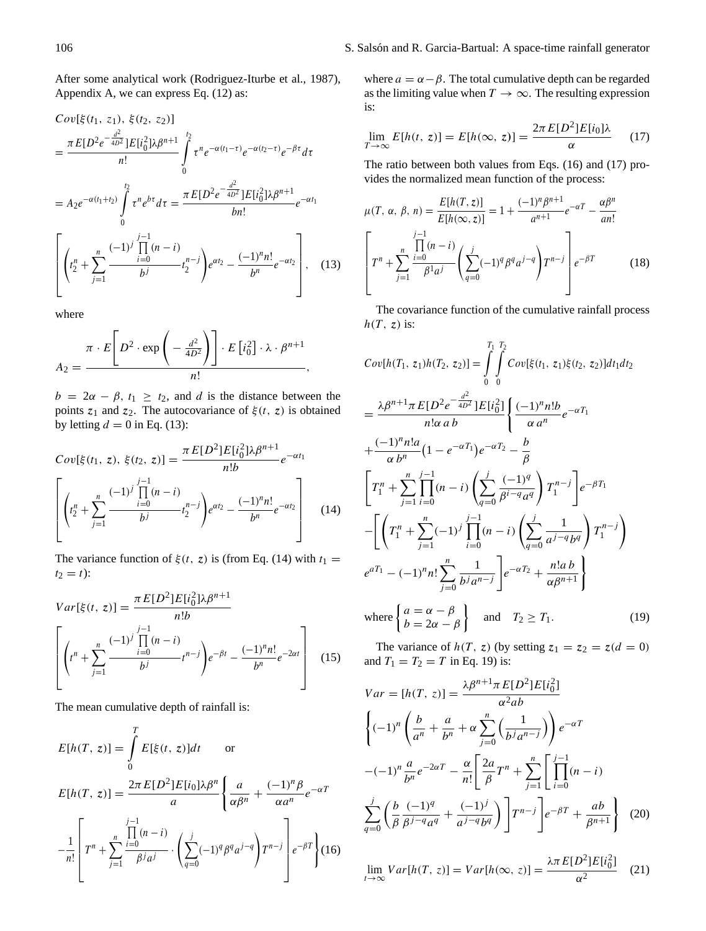After some analytical work (Rodriguez-Iturbe et al., 1987), Appendix A, we can express Eq. (12) as:

$$
Cov[\xi(t_1, z_1), \xi(t_2, z_2)]
$$
  
= 
$$
\frac{\pi E[D^2 e^{-\frac{d^2}{4D^2}}]E[i_0^2]\lambda\beta^{n+1}}{n!} \int_{0}^{t_2} \tau^n e^{-\alpha(t_1-\tau)} e^{-\alpha(t_2-\tau)} e^{-\beta \tau} d\tau
$$
  
= 
$$
A_2 e^{-\alpha(t_1+t_2)} \int_{0}^{t_2} \tau^n e^{bt} d\tau = \frac{\pi E[D^2 e^{-\frac{d^2}{4D^2}}]E[i_0^2]\lambda\beta^{n+1}}{bn!} e^{-\alpha t_1}
$$
  

$$
\left[ \left(t_2^n + \sum_{j=1}^n \frac{(-1)^j \prod_{i=0}^{j-1} (n-i)}{b^j} t_2^{n-j} \right) e^{\alpha t_2} - \frac{(-1)^n n!}{b^n} e^{-\alpha t_2} \right], \quad (13)
$$

where

$$
A_2 = \frac{\pi \cdot E\left[D^2 \cdot \exp\left(-\frac{d^2}{4D^2}\right)\right] \cdot E\left[i_0^2\right] \cdot \lambda \cdot \beta^{n+1}}{n!},
$$

 $b = 2\alpha - \beta$ ,  $t_1 \ge t_2$ , and d is the distance between the points  $z_1$  and  $z_2$ . The autocovariance of  $\xi(t, z)$  is obtained by letting  $d = 0$  in Eq. (13):

$$
Cov[\xi(t_1, z), \xi(t_2, z)] = \frac{\pi E[D^2]E[i_0^2] \lambda \beta^{n+1}}{n!b} e^{-\alpha t_1}
$$

$$
\left[ \left( t_2^n + \sum_{j=1}^n \frac{(-1)^j \prod_{i=0}^{j-1} (n-i)}{b^j} t_2^{n-j} \right) e^{\alpha t_2} - \frac{(-1)^n n!}{b^n} e^{-\alpha t_2} \right] (14)
$$

The variance function of  $\xi(t, z)$  is (from Eq. (14) with  $t_1 =$  $t_2 = t$ :

$$
Var[\xi(t, z)] = \frac{\pi E[D^2]E[i_0^2] \lambda \beta^{n+1}}{n!b}
$$

$$
\left[ \left( t^n + \sum_{j=1}^n \frac{(-1)^j \prod_{i=0}^{j-1} (n-i)}{b^j} t^{n-j} \right) e^{-\beta t} - \frac{(-1)^n n!}{b^n} e^{-2\alpha t} \right] (15)
$$

The mean cumulative depth of rainfall is:

$$
E[h(T, z)] = \int_{0}^{T} E[\xi(t, z)]dt \quad \text{or}
$$
  
\n
$$
E[h(T, z)] = \frac{2\pi E[D^{2}]E[i_{0}]\lambda\beta^{n}}{a} \left\{ \frac{a}{\alpha\beta^{n}} + \frac{(-1)^{n}\beta}{\alpha a^{n}} e^{-\alpha T} -\frac{1}{n!} \left[ T^{n} + \sum_{j=1}^{n} \frac{\prod_{i=0}^{j-1} (n-i)}{\beta^{j} a^{j}} \cdot \left( \sum_{q=0}^{j} (-1)^{q} \beta^{q} a^{j-q} \right) T^{n-j} \right] e^{-\beta T} \right\}
$$
(16)

where  $a = \alpha - \beta$ . The total cumulative depth can be regarded as the limiting value when  $T \to \infty$ . The resulting expression is:

$$
\lim_{T \to \infty} E[h(t, z)] = E[h(\infty, z)] = \frac{2\pi E[D^2]E[i_0]\lambda}{\alpha} \tag{17}
$$

The ratio between both values from Eqs. (16) and (17) provides the normalized mean function of the process:

$$
\mu(T, \alpha, \beta, n) = \frac{E[h(T, z)]}{E[h(\infty, z)]} = 1 + \frac{(-1)^n \beta^{n+1}}{a^{n+1}} e^{-\alpha T} - \frac{\alpha \beta^n}{an!}
$$

$$
\left[ T^n + \sum_{j=1}^n \frac{\prod_{i=0}^{j-1} (n-i)}{\beta^1 a^j} \left( \sum_{q=0}^j (-1)^q \beta^q a^{j-q} \right) T^{n-j} \right] e^{-\beta T} \tag{18}
$$

The covariance function of the cumulative rainfall process  $h(T, z)$  is:

$$
Cov[h(T_1, z_1)h(T_2, z_2)] = \int_{0}^{T_1} \int_{0}^{T_2} Cov[\xi(t_1, z_1)\xi(t_2, z_2)]dt_1dt_2
$$
  
\n
$$
= \frac{\lambda \beta^{n+1} \pi E[D^2 e^{-\frac{d^2}{4D^2}}]E[i_0^2]}{n!\alpha \ b} \left\{ \frac{(-1)^n n!b}{\alpha \ a^n} e^{-\alpha T_1} + \frac{(-1)^n n!a}{\alpha \ b^n} (1 - e^{-\alpha T_1})e^{-\alpha T_2} - \frac{b}{\beta} \right\}
$$
  
\n
$$
\left[ T_1^n + \sum_{j=1}^n \prod_{i=0}^{j-1} (n-i) \left( \sum_{q=0}^j \frac{(-1)^q}{\beta^{i-q} a^q} \right) T_1^{n-j} \right] e^{-\beta T_1}
$$
  
\n
$$
- \left[ \left( T_1^n + \sum_{j=1}^n (-1)^j \prod_{i=0}^{j-1} (n-i) \left( \sum_{q=0}^j \frac{1}{a^{j-q} b^q} \right) T_1^{n-j} \right) \right]
$$
  
\n
$$
e^{\alpha T_1} - (-1)^n n! \sum_{j=0}^n \frac{1}{b^j a^{n-j}} \right] e^{-\alpha T_2} + \frac{n! a b}{\alpha \beta^{n+1}}
$$
  
\nwhere 
$$
\begin{cases} a = \alpha - \beta \\ b = 2\alpha - \beta \end{cases}
$$
 and  $T_2 \ge T_1$ . (19)

The variance of  $h(T, z)$  (by setting  $z_1 = z_2 = z(d = 0)$ ) and  $T_1 = T_2 = T$  in Eq. 19) is:

$$
Var = [h(T, z)] = \frac{\lambda \beta^{n+1} \pi E[D^2] E[i_0^2]}{\alpha^2 ab}
$$
  

$$
\left\{ (-1)^n \left( \frac{b}{a^n} + \frac{a}{b^n} + \alpha \sum_{j=0}^n \left( \frac{1}{b^j a^{n-j}} \right) \right) e^{-\alpha T} - (-1)^n \frac{a}{b^n} e^{-2\alpha T} - \frac{\alpha}{n!} \left[ \frac{2a}{\beta} T^n + \sum_{j=1}^n \left[ \prod_{i=0}^{j-1} (n-i) \right] \right]
$$
  

$$
\sum_{q=0}^j \left( \frac{b}{\beta} \frac{(-1)^q}{\beta^{j-q} a^q} + \frac{(-1)^j}{a^{j-q} b^q} \right) \right] T^{n-j} \left[ e^{-\beta T} + \frac{ab}{\beta^{n+1}} \right] (20)
$$

$$
\lim_{t \to \infty} Var[h(T, z)] = Var[h(\infty, z)] = \frac{\lambda \pi E[D^2]E[i_0^2]}{\alpha^2}
$$
 (21)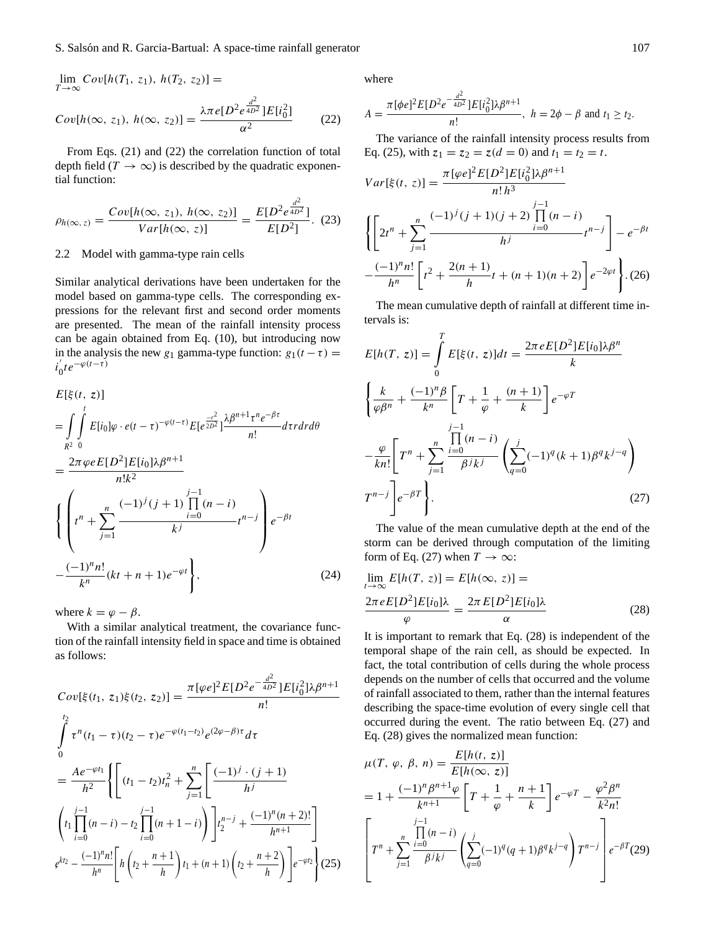$\lim_{T \to \infty} Cov[h(T_1, z_1), h(T_2, z_2)] =$  $Cov[h(\infty, z_1), h(\infty, z_2)] =$  $\lambda\pi$  e[D<sup>2</sup> e<sup> $\frac{d^2}{4D^2}$ </sup>]E[i $^2_0$ ]  $\alpha^2$ (22)

From Eqs. (21) and (22) the correlation function of total depth field ( $T \rightarrow \infty$ ) is described by the quadratic exponential function:

$$
\rho_{h(\infty, z)} = \frac{Cov[h(\infty, z_1), h(\infty, z_2)]}{Var[h(\infty, z)]} = \frac{E[D^2 e^{\frac{d^2}{4D^2}}]}{E[D^2]}.
$$
 (23)

## 2.2 Model with gamma-type rain cells

Similar analytical derivations have been undertaken for the model based on gamma-type cells. The corresponding expressions for the relevant first and second order moments are presented. The mean of the rainfall intensity process can be again obtained from Eq. (10), but introducing now in the analysis the new g<sub>1</sub> gamma-type function:  $g_1(t-\tau)$  =  $i'_{0}$  $\int_0^t t e^{-\varphi(t-\tau)}$ 

$$
E[\xi(t, z)]
$$
\n
$$
= \int_{R^2} \int_0^t E[i_0] \varphi \cdot e(t - \tau)^{-\varphi(t-\tau)} E[e^{\frac{-r^2}{2D^2}}] \frac{\lambda \beta^{n+1} \tau^n e^{-\beta \tau}}{n!} dr dr d\theta
$$
\n
$$
= \frac{2\pi \varphi e E[D^2] E[i_0] \lambda \beta^{n+1}}{n! k^2}
$$
\n
$$
\left\{ \left( t^n + \sum_{j=1}^n \frac{(-1)^j (j+1) \prod_{i=0}^{j-1} (n-i)}{k^j} t^{n-j} \right) e^{-\beta t} - \frac{(-1)^n n!}{k^n} (kt + n + 1) e^{-\varphi t} \right\},
$$
\n(24)

where  $k = \varphi - \beta$ .

With a similar analytical treatment, the covariance function of the rainfall intensity field in space and time is obtained as follows:

$$
Cov[\xi(t_1, z_1)\xi(t_2, z_2)] = \frac{\pi[\varphi e]^2 E[D^2 e^{-\frac{d^2}{4D^2}}] E[i_0^2] \lambda \beta^{n+1}}{n!}
$$
  

$$
\int_0^{t_2} \tau^n(t_1 - \tau)(t_2 - \tau) e^{-\varphi(t_1 - t_2)} e^{(2\varphi - \beta)\tau} d\tau
$$
  

$$
= \frac{Ae^{-\varphi t_1}}{h^2} \left\{ \left[ (t_1 - t_2)t_n^2 + \sum_{j=1}^n \left[ \frac{(-1)^j \cdot (j+1)}{h^j} \right] \right.\right.
$$
  

$$
\left\{ t_1 \prod_{i=0}^{j-1} (n-i) - t_2 \prod_{i=0}^{j-1} (n+1-i) \right\} \left[ t_2^{n-j} + \frac{(-1)^n (n+2)!}{h^{n+1}} \right]
$$
  

$$
\left. e^{kt_2} - \frac{(-1)^n n!}{h^n} \left[ h \left( t_2 + \frac{n+1}{h} \right) t_1 + (n+1) \left( t_2 + \frac{n+2}{h} \right) \right] e^{-\varphi t_2} \right\} (25)
$$

where

$$
A=\frac{\pi[\phi e]^2E[D^2e^{-\frac{d^2}{4D^2}}]E[i_0^2]\lambda\beta^{n+1}}{n!},\ h=2\phi-\beta\ \text{and}\ t_1\ge t_2.
$$

The variance of the rainfall intensity process results from Eq. (25), with  $z_1 = z_2 = z(d = 0)$  and  $t_1 = t_2 = t$ .

$$
Var[\xi(t, z)] = \frac{\pi [\varphi e]^2 E[D^2] E[i_0^2] \lambda \beta^{n+1}}{n! h^3}
$$

$$
\left\{ \left[ 2t^n + \sum_{j=1}^n \frac{(-1)^j (j+1)(j+2) \prod_{i=0}^{j-1} (n-i)}{h^j} t^{n-j} \right] - e^{-\beta t} - \frac{(-1)^n n!}{h^n} \left[ t^2 + \frac{2(n+1)}{h} t + (n+1)(n+2) \right] e^{-2\varphi t} \right\} . (26)
$$

The mean cumulative depth of rainfall at different time intervals is:

$$
E[h(T, z)] = \int_{0}^{T} E[\xi(t, z)]dt = \frac{2\pi eE[D^{2}]E[i_{0}]\lambda\beta^{n}}{k}
$$

$$
\left\{\frac{k}{\varphi\beta^{n}} + \frac{(-1)^{n}\beta}{k^{n}}\left[T + \frac{1}{\varphi} + \frac{(n+1)}{k}\right]e^{-\varphi T}\right.
$$

$$
-\frac{\varphi}{kn!}\left[T^{n} + \sum_{j=1}^{n}\frac{\prod_{i=0}^{j-1}(n-i)}{\beta^{j}k^{j}}\left(\sum_{q=0}^{j}(-1)^{q}(k+1)\beta^{q}k^{j-q}\right)\right]
$$

$$
T^{n-j}\left[e^{-\beta T}\right].
$$
(27)

The value of the mean cumulative depth at the end of the storm can be derived through computation of the limiting form of Eq. (27) when  $T \to \infty$ :

$$
\lim_{t \to \infty} E[h(T, z)] = E[h(\infty, z)] =
$$
\n
$$
\frac{2\pi e E[D^2]E[i_0]\lambda}{\varphi} = \frac{2\pi E[D^2]E[i_0]\lambda}{\alpha}
$$
\n(28)

It is important to remark that Eq. (28) is independent of the temporal shape of the rain cell, as should be expected. In fact, the total contribution of cells during the whole process depends on the number of cells that occurred and the volume of rainfall associated to them, rather than the internal features describing the space-time evolution of every single cell that occurred during the event. The ratio between Eq. (27) and Eq. (28) gives the normalized mean function:

$$
\mu(T, \varphi, \beta, n) = \frac{E[h(t, z)]}{E[h(\infty, z)]}
$$
  
=  $1 + \frac{(-1)^n \beta^{n+1} \varphi}{k^{n+1}} \left[ T + \frac{1}{\varphi} + \frac{n+1}{k} \right] e^{-\varphi T} - \frac{\varphi^2 \beta^n}{k^2 n!}$   

$$
\left[ T^n + \sum_{j=1}^n \frac{\prod_{i=0}^{j-1} (n-i)}{\beta^j k^j} \left( \sum_{q=0}^j (-1)^q (q+1) \beta^q k^{j-q} \right) T^{n-j} \right] e^{-\beta T} (29)
$$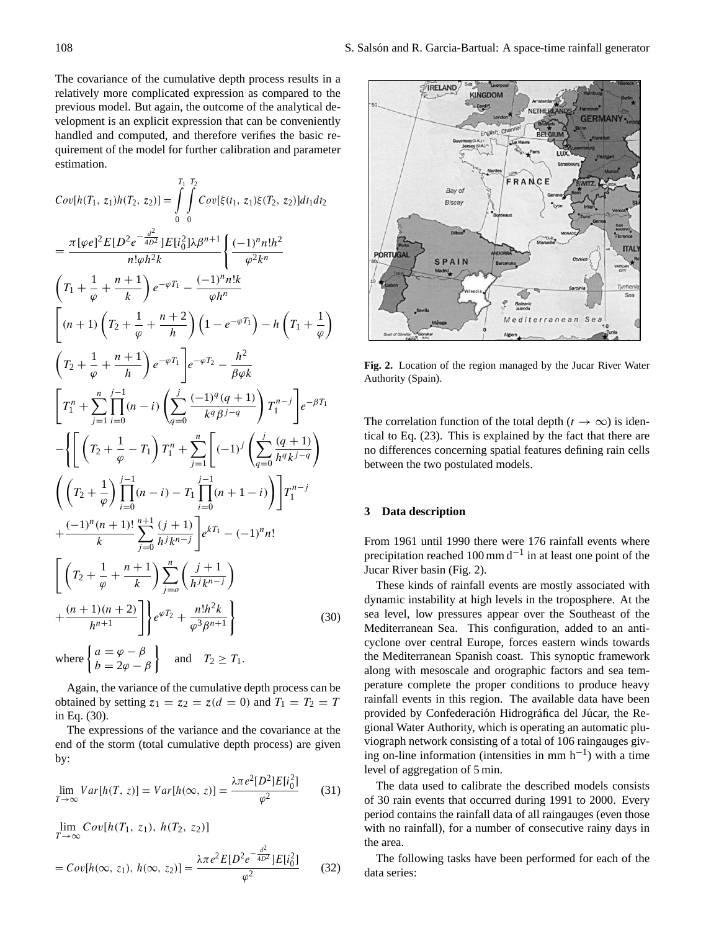The covariance of the cumulative depth process results in a relatively more complicated expression as compared to the previous model. But again, the outcome of the analytical development is an explicit expression that can be conveniently handled and computed, and therefore verifies the basic requirement of the model for further calibration and parameter estimation.

$$
Cov[h(T_1, z_1)h(T_2, z_2)] = \int_{0}^{T_1} \int_{0}^{T_2} Cov[\xi(t_1, z_1)\xi(T_2, z_2)]dt_1dt_2
$$
  
\n
$$
= \frac{\pi[\varphi e]^2 E[D^2 e^{-\frac{d^2}{4D^2}}]E[i_0^2] \lambda \beta^{n+1}}{n!\varphi h^2 k} \left\{ \frac{(-1)^n n!h^2}{\varphi^2 k^n} \right\}
$$
  
\n
$$
\left(T_1 + \frac{1}{\varphi} + \frac{n+1}{k}\right) e^{-\varphi T_1} - \frac{(-1)^n n!k}{\varphi h^n}
$$
  
\n
$$
\left[(n+1)\left(T_2 + \frac{1}{\varphi} + \frac{n+2}{h}\right)\left(1 - e^{-\varphi T_1}\right) - h\left(T_1 + \frac{1}{\varphi}\right)\right]
$$
  
\n
$$
\left(T_2 + \frac{1}{\varphi} + \frac{n+1}{h}\right) e^{-\varphi T_1} \left[e^{-\varphi T_2} - \frac{h^2}{\beta \varphi k}\right]
$$
  
\n
$$
\left[T_1^n + \sum_{j=1}^n \prod_{i=0}^{j-1} (n-i) \left(\sum_{q=0}^j \frac{(-1)^q (q+1)}{k^q \beta^{j-q}}\right) T_1^{n-j} \right] e^{-\beta T_1}
$$
  
\n
$$
- \left\{ \left[ \left(T_2 + \frac{1}{\varphi} - T_1\right) T_1^n + \sum_{j=1}^n \left[ (-1)^j \left(\sum_{q=0}^j \frac{(q+1)}{h^q k^{j-q}}\right) \right] \right] \right\}
$$
  
\n
$$
+ \frac{(-1)^n (n+1)!}{k} \sum_{j=0}^{n+1} \frac{(j+1)}{h^j k^{n-j}} e^{kT_1} - (-1)^n n!
$$
  
\n
$$
\left[ \left(T_2 + \frac{1}{\varphi} + \frac{n+1}{k}\right) \sum_{j=0}^n \left(\frac{j+1}{h^j k^{n-j}}\right) \right]
$$
  
\n
$$
+ \frac{(n+1)(n+2)}{h^{n+1}}
$$
  
\n
$$
\left[ \
$$

Again, the variance of the cumulative depth process can be obtained by setting  $z_1 = z_2 = z(d = 0)$  and  $T_1 = T_2 = T$ in Eq. (30).

The expressions of the variance and the covariance at the end of the storm (total cumulative depth process) are given by:

$$
\lim_{T \to \infty} Var[h(T, z)] = Var[h(\infty, z)] = \frac{\lambda \pi e^2 [D^2] E[i_0^2]}{\varphi^2}
$$
(31)

$$
\lim_{T \to \infty} Cov[h(T_1, z_1), h(T_2, z_2)]
$$
\n
$$
= Cov[h(\infty, z_1), h(\infty, z_2)] = \frac{\lambda \pi e^2 E[D^2 e^{-\frac{d^2}{4D^2}}] E[i_0^2]}{\varphi^2}
$$
\n(32)



**Fig. 2.** Location of the region managed by the Jucar River Water Authority (Spain).

The correlation function of the total depth ( $t \to \infty$ ) is identical to Eq. (23). This is explained by the fact that there are no differences concerning spatial features defining rain cells between the two postulated models.

## **3 Data description**

From 1961 until 1990 there were 176 rainfall events where precipitation reached 100 mm  $d^{-1}$  in at least one point of the Jucar River basin (Fig. 2).

These kinds of rainfall events are mostly associated with dynamic instability at high levels in the troposphere. At the sea level, low pressures appear over the Southeast of the Mediterranean Sea. This configuration, added to an anticyclone over central Europe, forces eastern winds towards the Mediterranean Spanish coast. This synoptic framework along with mesoscale and orographic factors and sea temperature complete the proper conditions to produce heavy rainfall events in this region. The available data have been provided by Confederación Hidrográfica del Júcar, the Regional Water Authority, which is operating an automatic pluviograph network consisting of a total of 106 raingauges giving on-line information (intensities in mm h−<sup>1</sup> ) with a time level of aggregation of 5 min.

The data used to calibrate the described models consists of 30 rain events that occurred during 1991 to 2000. Every period contains the rainfall data of all raingauges (even those with no rainfall), for a number of consecutive rainy days in the area.

The following tasks have been performed for each of the data series: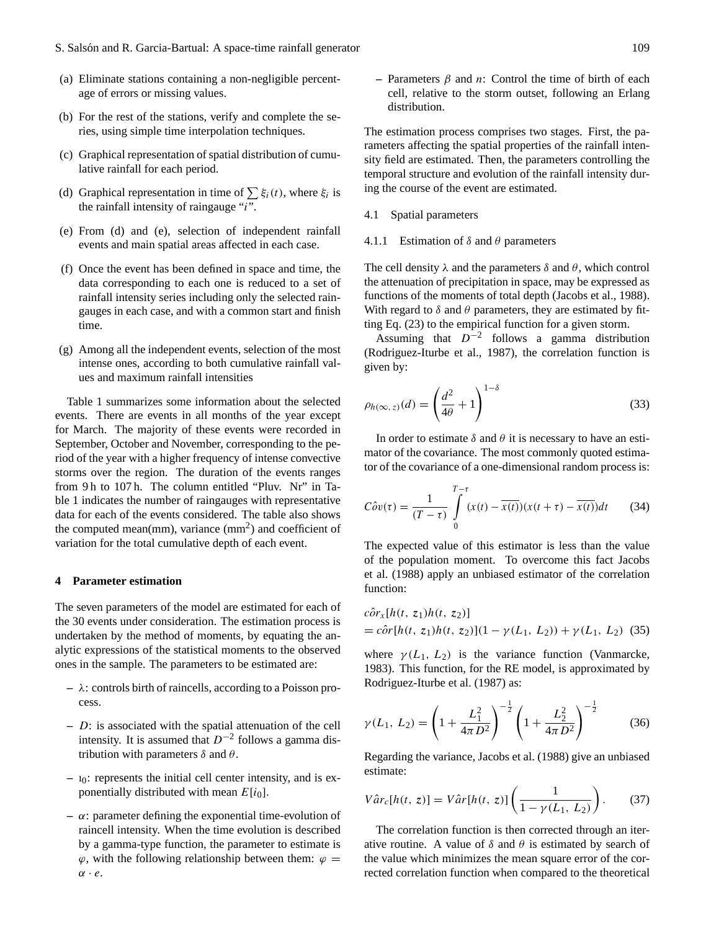- (a) Eliminate stations containing a non-negligible percentage of errors or missing values.
- (b) For the rest of the stations, verify and complete the series, using simple time interpolation techniques.
- (c) Graphical representation of spatial distribution of cumulative rainfall for each period.
- (d) Graphical representation in time of  $\sum \xi_i(t)$ , where  $\xi_i$  is the rainfall intensity of raingauge " $i^{\prime\prime}$ .
- (e) From (d) and (e), selection of independent rainfall events and main spatial areas affected in each case.
- (f) Once the event has been defined in space and time, the data corresponding to each one is reduced to a set of rainfall intensity series including only the selected raingauges in each case, and with a common start and finish time.
- (g) Among all the independent events, selection of the most intense ones, according to both cumulative rainfall values and maximum rainfall intensities

Table 1 summarizes some information about the selected events. There are events in all months of the year except for March. The majority of these events were recorded in September, October and November, corresponding to the period of the year with a higher frequency of intense convective storms over the region. The duration of the events ranges from 9 h to 107 h. The column entitled "Pluv. Nr" in Table 1 indicates the number of raingauges with representative data for each of the events considered. The table also shows the computed mean(mm), variance  $\text{(mm)}^2$ ) and coefficient of variation for the total cumulative depth of each event.

## **4 Parameter estimation**

The seven parameters of the model are estimated for each of the 30 events under consideration. The estimation process is undertaken by the method of moments, by equating the analytic expressions of the statistical moments to the observed ones in the sample. The parameters to be estimated are:

- **–** λ: controls birth of raincells, according to a Poisson process.
- **–** D: is associated with the spatial attenuation of the cell intensity. It is assumed that  $D^{-2}$  follows a gamma distribution with parameters  $\delta$  and  $\theta$ .
- **–** ı0: represents the initial cell center intensity, and is exponentially distributed with mean  $E[i_0]$ .
- **–** α: parameter defining the exponential time-evolution of raincell intensity. When the time evolution is described by a gamma-type function, the parameter to estimate is  $\varphi$ , with the following relationship between them:  $\varphi =$  $\alpha \cdot e$ .

**–** Parameters β and n: Control the time of birth of each cell, relative to the storm outset, following an Erlang distribution.

The estimation process comprises two stages. First, the parameters affecting the spatial properties of the rainfall intensity field are estimated. Then, the parameters controlling the temporal structure and evolution of the rainfall intensity during the course of the event are estimated.

4.1 Spatial parameters

#### 4.1.1 Estimation of  $\delta$  and  $\theta$  parameters

The cell density  $\lambda$  and the parameters  $\delta$  and  $\theta$ , which control the attenuation of precipitation in space, may be expressed as functions of the moments of total depth (Jacobs et al., 1988). With regard to  $\delta$  and  $\theta$  parameters, they are estimated by fitting Eq. (23) to the empirical function for a given storm.

Assuming that  $D^{-2}$  follows a gamma distribution (Rodriguez-Iturbe et al., 1987), the correlation function is given by:

$$
\rho_{h(\infty, z)}(d) = \left(\frac{d^2}{4\theta} + 1\right)^{1-\delta} \tag{33}
$$

In order to estimate  $\delta$  and  $\theta$  it is necessary to have an estimator of the covariance. The most commonly quoted estimator of the covariance of a one-dimensional random process is:

$$
C\hat{\partial}\nu(\tau) = \frac{1}{(T-\tau)}\int\limits_{0}^{T-\tau} (x(t) - \overline{x(t)})(x(t+\tau) - \overline{x(t)})dt\qquad(34)
$$

The expected value of this estimator is less than the value of the population moment. To overcome this fact Jacobs et al. (1988) apply an unbiased estimator of the correlation function:

$$
c\hat{o}r_x[h(t, z_1)h(t, z_2)]
$$
  
=  $c\hat{o}r[h(t, z_1)h(t, z_2)](1 - \gamma(L_1, L_2)) + \gamma(L_1, L_2)$  (35)

where  $\gamma(L_1, L_2)$  is the variance function (Vanmarcke, 1983). This function, for the RE model, is approximated by Rodriguez-Iturbe et al. (1987) as:

$$
\gamma(L_1, L_2) = \left(1 + \frac{L_1^2}{4\pi D^2}\right)^{-\frac{1}{2}} \left(1 + \frac{L_2^2}{4\pi D^2}\right)^{-\frac{1}{2}}\tag{36}
$$

Regarding the variance, Jacobs et al. (1988) give an unbiased estimate:

$$
V\hat{a}r_c[h(t, z)] = V\hat{a}r[h(t, z)]\left(\frac{1}{1 - \gamma(L_1, L_2)}\right). \tag{37}
$$

The correlation function is then corrected through an iterative routine. A value of  $\delta$  and  $\theta$  is estimated by search of the value which minimizes the mean square error of the corrected correlation function when compared to the theoretical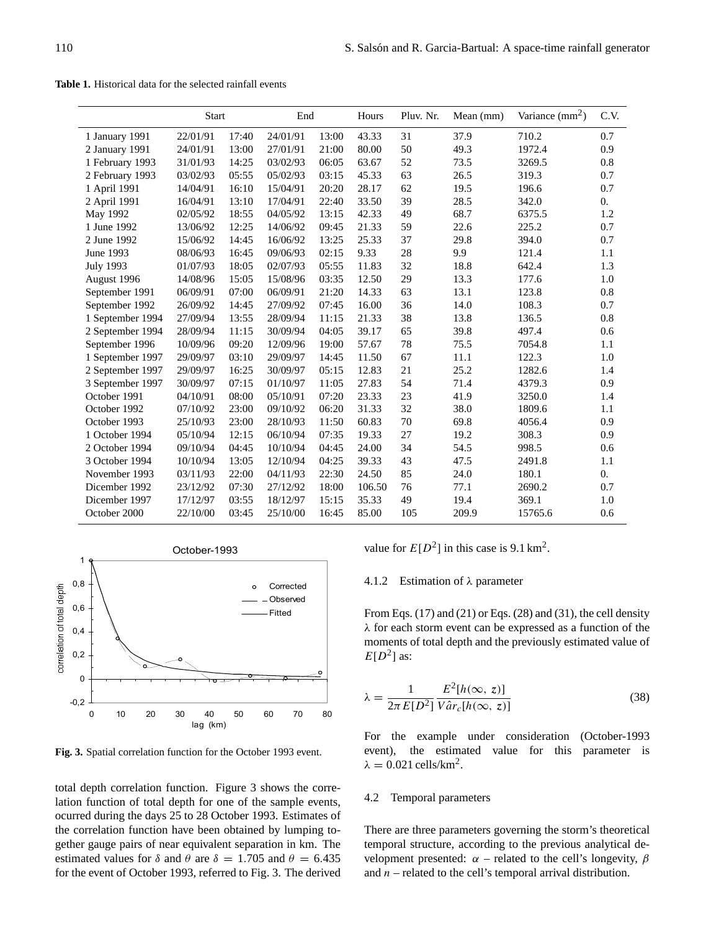**Table 1.** Historical data for the selected rainfall events

|                  | <b>Start</b> |       | End      |       | Hours  | Pluv. Nr. | Mean (mm) | Variance $\text{(mm}^2)$ | C.V.             |
|------------------|--------------|-------|----------|-------|--------|-----------|-----------|--------------------------|------------------|
| 1 January 1991   | 22/01/91     | 17:40 | 24/01/91 | 13:00 | 43.33  | 31        | 37.9      | 710.2                    | 0.7              |
| 2 January 1991   | 24/01/91     | 13:00 | 27/01/91 | 21:00 | 80.00  | 50        | 49.3      | 1972.4                   | 0.9              |
| 1 February 1993  | 31/01/93     | 14:25 | 03/02/93 | 06:05 | 63.67  | 52        | 73.5      | 3269.5                   | 0.8              |
| 2 February 1993  | 03/02/93     | 05:55 | 05/02/93 | 03:15 | 45.33  | 63        | 26.5      | 319.3                    | 0.7              |
| 1 April 1991     | 14/04/91     | 16:10 | 15/04/91 | 20:20 | 28.17  | 62        | 19.5      | 196.6                    | 0.7              |
| 2 April 1991     | 16/04/91     | 13:10 | 17/04/91 | 22:40 | 33.50  | 39        | 28.5      | 342.0                    | $\overline{0}$ . |
| <b>May 1992</b>  | 02/05/92     | 18:55 | 04/05/92 | 13:15 | 42.33  | 49        | 68.7      | 6375.5                   | 1.2              |
| 1 June 1992      | 13/06/92     | 12:25 | 14/06/92 | 09:45 | 21.33  | 59        | 22.6      | 225.2                    | 0.7              |
| 2 June 1992      | 15/06/92     | 14:45 | 16/06/92 | 13:25 | 25.33  | 37        | 29.8      | 394.0                    | 0.7              |
| June 1993        | 08/06/93     | 16:45 | 09/06/93 | 02:15 | 9.33   | 28        | 9.9       | 121.4                    | 1.1              |
| <b>July 1993</b> | 01/07/93     | 18:05 | 02/07/93 | 05:55 | 11.83  | 32        | 18.8      | 642.4                    | 1.3              |
| August 1996      | 14/08/96     | 15:05 | 15/08/96 | 03:35 | 12.50  | 29        | 13.3      | 177.6                    | 1.0              |
| September 1991   | 06/09/91     | 07:00 | 06/09/91 | 21:20 | 14.33  | 63        | 13.1      | 123.8                    | 0.8              |
| September 1992   | 26/09/92     | 14:45 | 27/09/92 | 07:45 | 16.00  | 36        | 14.0      | 108.3                    | 0.7              |
| 1 September 1994 | 27/09/94     | 13:55 | 28/09/94 | 11:15 | 21.33  | 38        | 13.8      | 136.5                    | 0.8              |
| 2 September 1994 | 28/09/94     | 11:15 | 30/09/94 | 04:05 | 39.17  | 65        | 39.8      | 497.4                    | 0.6              |
| September 1996   | 10/09/96     | 09:20 | 12/09/96 | 19:00 | 57.67  | 78        | 75.5      | 7054.8                   | 1.1              |
| 1 September 1997 | 29/09/97     | 03:10 | 29/09/97 | 14:45 | 11.50  | 67        | 11.1      | 122.3                    | 1.0              |
| 2 September 1997 | 29/09/97     | 16:25 | 30/09/97 | 05:15 | 12.83  | 21        | 25.2      | 1282.6                   | 1.4              |
| 3 September 1997 | 30/09/97     | 07:15 | 01/10/97 | 11:05 | 27.83  | 54        | 71.4      | 4379.3                   | 0.9              |
| October 1991     | 04/10/91     | 08:00 | 05/10/91 | 07:20 | 23.33  | 23        | 41.9      | 3250.0                   | 1.4              |
| October 1992     | 07/10/92     | 23:00 | 09/10/92 | 06:20 | 31.33  | 32        | 38.0      | 1809.6                   | 1.1              |
| October 1993     | 25/10/93     | 23:00 | 28/10/93 | 11:50 | 60.83  | 70        | 69.8      | 4056.4                   | 0.9              |
| 1 October 1994   | 05/10/94     | 12:15 | 06/10/94 | 07:35 | 19.33  | 27        | 19.2      | 308.3                    | 0.9              |
| 2 October 1994   | 09/10/94     | 04:45 | 10/10/94 | 04:45 | 24.00  | 34        | 54.5      | 998.5                    | 0.6              |
| 3 October 1994   | 10/10/94     | 13:05 | 12/10/94 | 04:25 | 39.33  | 43        | 47.5      | 2491.8                   | 1.1              |
| November 1993    | 03/11/93     | 22:00 | 04/11/93 | 22:30 | 24.50  | 85        | 24.0      | 180.1                    | $\overline{0}$ . |
| Dicember 1992    | 23/12/92     | 07:30 | 27/12/92 | 18:00 | 106.50 | 76        | 77.1      | 2690.2                   | 0.7              |
| Dicember 1997    | 17/12/97     | 03:55 | 18/12/97 | 15:15 | 35.33  | 49        | 19.4      | 369.1                    | 1.0              |
| October 2000     | 22/10/00     | 03:45 | 25/10/00 | 16:45 | 85.00  | 105       | 209.9     | 15765.6                  | 0.6              |



**Fig. 3.** Spatial correlation function for the October 1993 event.

total depth correlation function. Figure 3 shows the correlation function of total depth for one of the sample events, ocurred during the days 25 to 28 October 1993. Estimates of the correlation function have been obtained by lumping together gauge pairs of near equivalent separation in km. The estimated values for  $\delta$  and  $\theta$  are  $\delta = 1.705$  and  $\theta = 6.435$ for the event of October 1993, referred to Fig. 3. The derived value for  $E[D^2]$  in this case is 9.1 km<sup>2</sup>.

#### 4.1.2 Estimation of λ parameter

From Eqs.  $(17)$  and  $(21)$  or Eqs.  $(28)$  and  $(31)$ , the cell density λ for each storm event can be expressed as a function of the moments of total depth and the previously estimated value of  $E[D^2]$  as:

$$
\lambda = \frac{1}{2\pi E[D^2]} \frac{E^2[h(\infty, z)]}{V\hat{a}r_c[h(\infty, z)]}
$$
(38)

For the example under consideration (October-1993 event), the estimated value for this parameter is  $\lambda = 0.021$  cells/km<sup>2</sup>.

### 4.2 Temporal parameters

There are three parameters governing the storm's theoretical temporal structure, according to the previous analytical development presented:  $\alpha$  – related to the cell's longevity,  $\beta$ and  $n$  – related to the cell's temporal arrival distribution.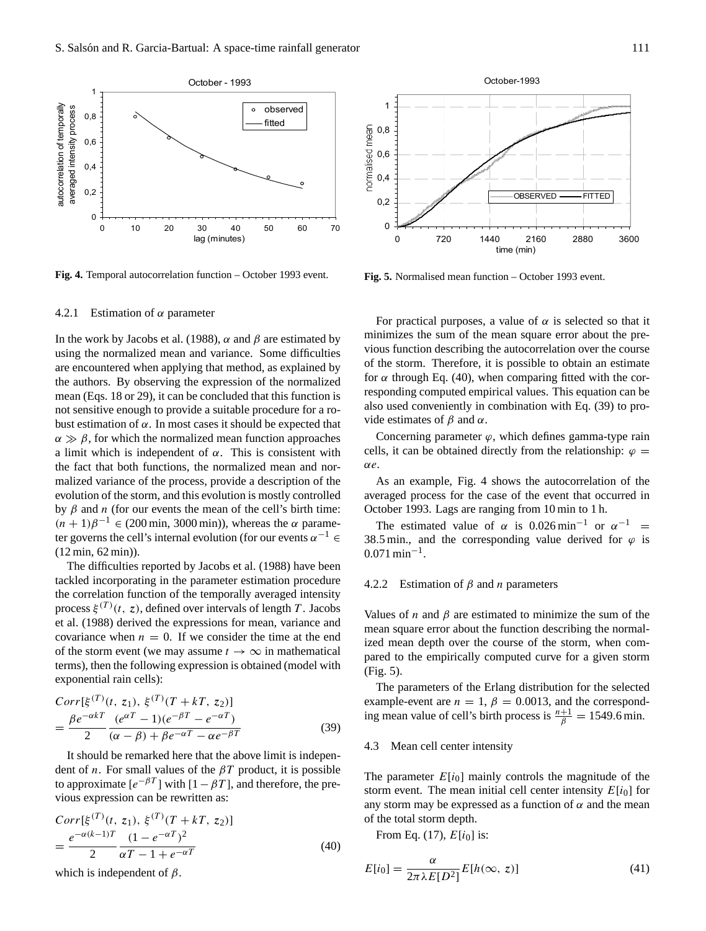

**Fig. 4.** Temporal autocorrelation function – October 1993 event.

## 4.2.1 Estimation of  $\alpha$  parameter

In the work by Jacobs et al. (1988),  $\alpha$  and  $\beta$  are estimated by using the normalized mean and variance. Some difficulties are encountered when applying that method, as explained by the authors. By observing the expression of the normalized mean (Eqs. 18 or 29), it can be concluded that this function is not sensitive enough to provide a suitable procedure for a robust estimation of  $\alpha$ . In most cases it should be expected that  $\alpha \gg \beta$ , for which the normalized mean function approaches a limit which is independent of  $\alpha$ . This is consistent with the fact that both functions, the normalized mean and normalized variance of the process, provide a description of the evolution of the storm, and this evolution is mostly controlled by β and *n* (for our events the mean of the cell's birth time:  $(n + 1)\beta^{-1} \in (200 \text{ min}, 3000 \text{ min})$ , whereas the  $\alpha$  parameter governs the cell's internal evolution (for our events  $\alpha^{-1} \in$ (12 min, 62 min)).

The difficulties reported by Jacobs et al. (1988) have been tackled incorporating in the parameter estimation procedure the correlation function of the temporally averaged intensity process  $\xi^{(T)}(t, z)$ , defined over intervals of length T. Jacobs et al. (1988) derived the expressions for mean, variance and covariance when  $n = 0$ . If we consider the time at the end of the storm event (we may assume  $t \to \infty$  in mathematical terms), then the following expression is obtained (model with exponential rain cells):

$$
Corr[\xi^{(T)}(t, z_1), \xi^{(T)}(T + kT, z_2)]
$$
  
= 
$$
\frac{\beta e^{-\alpha kT}}{2} \frac{(e^{\alpha T} - 1)(e^{-\beta T} - e^{-\alpha T})}{(\alpha - \beta) + \beta e^{-\alpha T} - \alpha e^{-\beta T}}
$$
(39)

It should be remarked here that the above limit is independent of *n*. For small values of the  $\beta T$  product, it is possible to approximate  $[e^{-\beta T}]$  with  $[1 - \beta T]$ , and therefore, the previous expression can be rewritten as:

$$
Corr[\xi^{(T)}(t, z_1), \xi^{(T)}(T + kT, z_2)]
$$
  
= 
$$
\frac{e^{-\alpha(k-1)T}}{2} \frac{(1 - e^{-\alpha T})^2}{\alpha T - 1 + e^{-\alpha T}}
$$
(40)

which is independent of  $\beta$ .



**Fig. 5.** Normalised mean function – October 1993 event.

For practical purposes, a value of  $\alpha$  is selected so that it minimizes the sum of the mean square error about the previous function describing the autocorrelation over the course of the storm. Therefore, it is possible to obtain an estimate for  $\alpha$  through Eq. (40), when comparing fitted with the corresponding computed empirical values. This equation can be also used conveniently in combination with Eq. (39) to provide estimates of  $\beta$  and  $\alpha$ .

Concerning parameter  $\varphi$ , which defines gamma-type rain cells, it can be obtained directly from the relationship:  $\varphi =$ αe.

As an example, Fig. 4 shows the autocorrelation of the averaged process for the case of the event that occurred in October 1993. Lags are ranging from 10 min to 1 h.

The estimated value of  $\alpha$  is 0.026 min<sup>-1</sup> or  $\alpha^{-1}$  = 38.5 min., and the corresponding value derived for  $\varphi$  is  $0.071 \text{ min}^{-1}$ .

## 4.2.2 Estimation of  $\beta$  and *n* parameters

Values of *n* and  $\beta$  are estimated to minimize the sum of the mean square error about the function describing the normalized mean depth over the course of the storm, when compared to the empirically computed curve for a given storm (Fig. 5).

The parameters of the Erlang distribution for the selected example-event are  $n = 1$ ,  $\beta = 0.0013$ , and the corresponding mean value of cell's birth process is  $\frac{n+1}{\beta} = 1549.6$  min.

## 4.3 Mean cell center intensity

The parameter  $E[i_0]$  mainly controls the magnitude of the storm event. The mean initial cell center intensity  $E[i_0]$  for any storm may be expressed as a function of  $\alpha$  and the mean of the total storm depth.

From Eq. (17),  $E[i_0]$  is:

$$
E[i_0] = \frac{\alpha}{2\pi\lambda E[D^2]} E[h(\infty, z)] \tag{41}
$$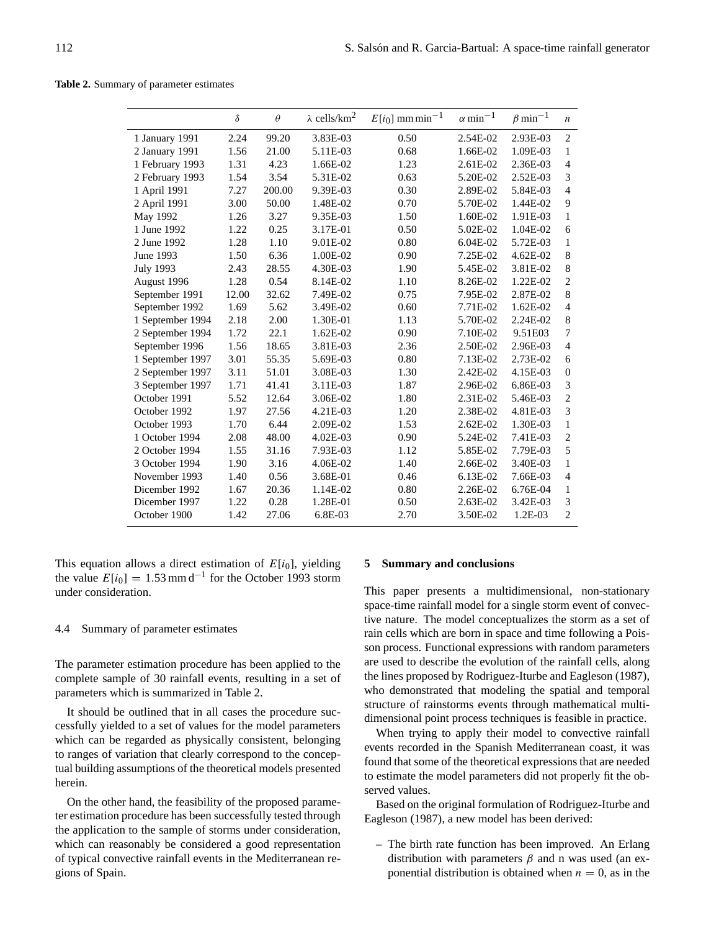**Table 2.** Summary of parameter estimates

|                  | δ     | $\theta$ | $\lambda$ cells/km <sup>2</sup> | $E[i_0]$ mm min <sup>-1</sup> | $\alpha$ min <sup>-1</sup> | $\beta$ min <sup>-1</sup> | $\boldsymbol{n}$ |
|------------------|-------|----------|---------------------------------|-------------------------------|----------------------------|---------------------------|------------------|
| 1 January 1991   | 2.24  | 99.20    | 3.83E-03                        | 0.50                          | 2.54E-02                   | 2.93E-03                  | $\overline{2}$   |
| 2 January 1991   | 1.56  | 21.00    | 5.11E-03                        | 0.68                          | 1.66E-02                   | 1.09E-03                  | 1                |
| 1 February 1993  | 1.31  | 4.23     | 1.66E-02                        | 1.23                          | 2.61E-02                   | 2.36E-03                  | $\overline{4}$   |
| 2 February 1993  | 1.54  | 3.54     | 5.31E-02                        | 0.63                          | 5.20E-02                   | 2.52E-03                  | 3                |
| 1 April 1991     | 7.27  | 200.00   | 9.39E-03                        | 0.30                          | 2.89E-02                   | 5.84E-03                  | $\overline{4}$   |
| 2 April 1991     | 3.00  | 50.00    | 1.48E-02                        | 0.70                          | 5.70E-02                   | 1.44E-02                  | 9                |
| May 1992         | 1.26  | 3.27     | 9.35E-03                        | 1.50                          | 1.60E-02                   | 1.91E-03                  | 1                |
| 1 June 1992      | 1.22  | 0.25     | 3.17E-01                        | 0.50                          | 5.02E-02                   | 1.04E-02                  | 6                |
| 2 June 1992      | 1.28  | 1.10     | 9.01E-02                        | 0.80                          | 6.04E-02                   | 5.72E-03                  | 1                |
| June 1993        | 1.50  | 6.36     | 1.00E-02                        | 0.90                          | 7.25E-02                   | 4.62E-02                  | 8                |
| <b>July 1993</b> | 2.43  | 28.55    | 4.30E-03                        | 1.90                          | 5.45E-02                   | 3.81E-02                  | $\,$ 8 $\,$      |
| August 1996      | 1.28  | 0.54     | 8.14E-02                        | 1.10                          | 8.26E-02                   | 1.22E-02                  | $\overline{2}$   |
| September 1991   | 12.00 | 32.62    | 7.49E-02                        | 0.75                          | 7.95E-02                   | 2.87E-02                  | 8                |
| September 1992   | 1.69  | 5.62     | 3.49E-02                        | 0.60                          | 7.71E-02                   | 1.62E-02                  | $\overline{4}$   |
| 1 September 1994 | 2.18  | 2.00     | 1.30E-01                        | 1.13                          | 5.70E-02                   | 2.24E-02                  | $\,$ 8 $\,$      |
| 2 September 1994 | 1.72  | 22.1     | 1.62E-02                        | 0.90                          | 7.10E-02                   | 9.51E03                   | 7                |
| September 1996   | 1.56  | 18.65    | 3.81E-03                        | 2.36                          | 2.50E-02                   | 2.96E-03                  | $\overline{4}$   |
| 1 September 1997 | 3.01  | 55.35    | 5.69E-03                        | 0.80                          | 7.13E-02                   | 2.73E-02                  | 6                |
| 2 September 1997 | 3.11  | 51.01    | 3.08E-03                        | 1.30                          | 2.42E-02                   | 4.15E-03                  | $\theta$         |
| 3 September 1997 | 1.71  | 41.41    | 3.11E-03                        | 1.87                          | 2.96E-02                   | 6.86E-03                  | 3                |
| October 1991     | 5.52  | 12.64    | 3.06E-02                        | 1.80                          | 2.31E-02                   | 5.46E-03                  | $\overline{2}$   |
| October 1992     | 1.97  | 27.56    | 4.21E-03                        | 1.20                          | 2.38E-02                   | 4.81E-03                  | 3                |
| October 1993     | 1.70  | 6.44     | 2.09E-02                        | 1.53                          | 2.62E-02                   | 1.30E-03                  | $\mathbf{1}$     |
| 1 October 1994   | 2.08  | 48.00    | 4.02E-03                        | 0.90                          | 5.24E-02                   | 7.41E-03                  | $\overline{c}$   |
| 2 October 1994   | 1.55  | 31.16    | 7.93E-03                        | 1.12                          | 5.85E-02                   | 7.79E-03                  | 5                |
| 3 October 1994   | 1.90  | 3.16     | 4.06E-02                        | 1.40                          | 2.66E-02                   | 3.40E-03                  | 1                |
| November 1993    | 1.40  | 0.56     | 3.68E-01                        | 0.46                          | 6.13E-02                   | 7.66E-03                  | $\overline{4}$   |
| Dicember 1992    | 1.67  | 20.36    | 1.14E-02                        | 0.80                          | 2.26E-02                   | 6.76E-04                  | $\mathbf{1}$     |
| Dicember 1997    | 1.22  | 0.28     | 1.28E-01                        | 0.50                          | 2.63E-02                   | 3.42E-03                  | 3                |
| October 1900     | 1.42  | 27.06    | 6.8E-03                         | 2.70                          | 3.50E-02                   | 1.2E-03                   | $\overline{c}$   |

This equation allows a direct estimation of  $E[i_0]$ , yielding the value  $E[i_0] = 1.53$  mm d<sup>-1</sup> for the October 1993 storm under consideration.

## 4.4 Summary of parameter estimates

The parameter estimation procedure has been applied to the complete sample of 30 rainfall events, resulting in a set of parameters which is summarized in Table 2.

It should be outlined that in all cases the procedure successfully yielded to a set of values for the model parameters which can be regarded as physically consistent, belonging to ranges of variation that clearly correspond to the conceptual building assumptions of the theoretical models presented herein.

On the other hand, the feasibility of the proposed parameter estimation procedure has been successfully tested through the application to the sample of storms under consideration, which can reasonably be considered a good representation of typical convective rainfall events in the Mediterranean regions of Spain.

#### **5 Summary and conclusions**

This paper presents a multidimensional, non-stationary space-time rainfall model for a single storm event of convective nature. The model conceptualizes the storm as a set of rain cells which are born in space and time following a Poisson process. Functional expressions with random parameters are used to describe the evolution of the rainfall cells, along the lines proposed by Rodriguez-Iturbe and Eagleson (1987), who demonstrated that modeling the spatial and temporal structure of rainstorms events through mathematical multidimensional point process techniques is feasible in practice.

When trying to apply their model to convective rainfall events recorded in the Spanish Mediterranean coast, it was found that some of the theoretical expressions that are needed to estimate the model parameters did not properly fit the observed values.

Based on the original formulation of Rodriguez-Iturbe and Eagleson (1987), a new model has been derived:

**–** The birth rate function has been improved. An Erlang distribution with parameters  $\beta$  and n was used (an exponential distribution is obtained when  $n = 0$ , as in the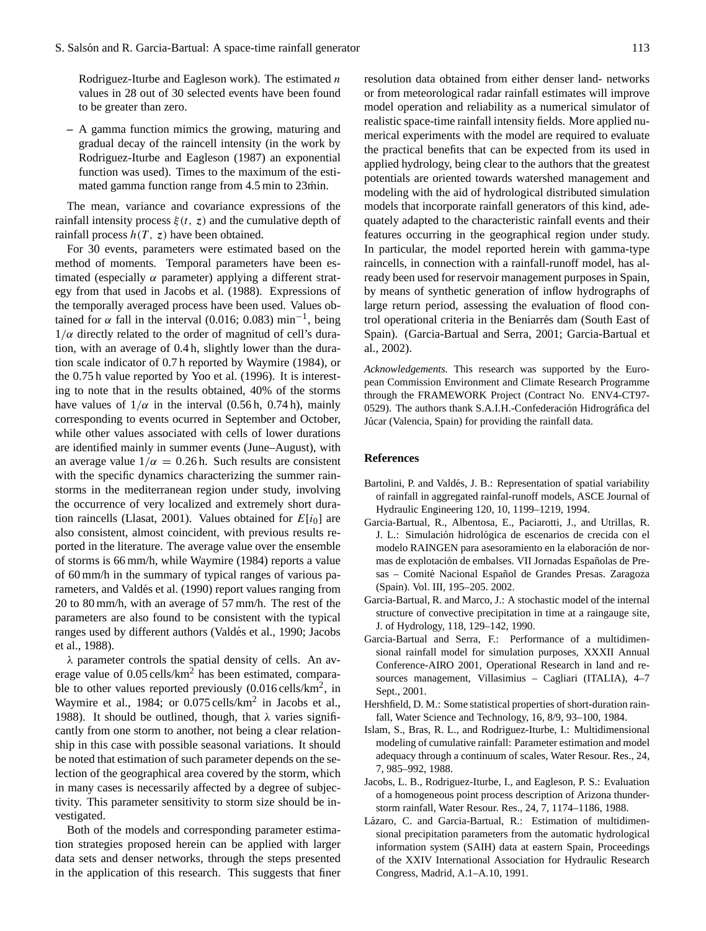Rodriguez-Iturbe and Eagleson work). The estimated  $n$ values in 28 out of 30 selected events have been found to be greater than zero.

**–** A gamma function mimics the growing, maturing and gradual decay of the raincell intensity (in the work by Rodriguez-Iturbe and Eagleson (1987) an exponential function was used). Times to the maximum of the estimated gamma function range from 4.5 min to 23min.

The mean, variance and covariance expressions of the rainfall intensity process  $\xi(t, z)$  and the cumulative depth of rainfall process  $h(T, z)$  have been obtained.

For 30 events, parameters were estimated based on the method of moments. Temporal parameters have been estimated (especially  $\alpha$  parameter) applying a different strategy from that used in Jacobs et al. (1988). Expressions of the temporally averaged process have been used. Values obtained for  $\alpha$  fall in the interval (0.016; 0.083) min<sup>-1</sup>, being  $1/\alpha$  directly related to the order of magnitud of cell's duration, with an average of 0.4 h, slightly lower than the duration scale indicator of 0.7 h reported by Waymire (1984), or the 0.75 h value reported by Yoo et al. (1996). It is interesting to note that in the results obtained, 40% of the storms have values of  $1/\alpha$  in the interval (0.56 h, 0.74 h), mainly corresponding to events ocurred in September and October, while other values associated with cells of lower durations are identified mainly in summer events (June–August), with an average value  $1/\alpha = 0.26$  h. Such results are consistent with the specific dynamics characterizing the summer rainstorms in the mediterranean region under study, involving the occurrence of very localized and extremely short duration raincells (Llasat, 2001). Values obtained for  $E[i_0]$  are also consistent, almost coincident, with previous results reported in the literature. The average value over the ensemble of storms is 66 mm/h, while Waymire (1984) reports a value of 60 mm/h in the summary of typical ranges of various parameters, and Valdés et al. (1990) report values ranging from 20 to 80 mm/h, with an average of 57 mm/h. The rest of the parameters are also found to be consistent with the typical ranges used by different authors (Valdés et al., 1990; Jacobs et al., 1988).

 $\lambda$  parameter controls the spatial density of cells. An average value of 0.05 cells/km<sup>2</sup> has been estimated, comparable to other values reported previously  $(0.016 \text{ cells/km}^2, \text{ in}$ Waymire et al., 1984; or 0.075 cells/km<sup>2</sup> in Jacobs et al., 1988). It should be outlined, though, that  $\lambda$  varies significantly from one storm to another, not being a clear relationship in this case with possible seasonal variations. It should be noted that estimation of such parameter depends on the selection of the geographical area covered by the storm, which in many cases is necessarily affected by a degree of subjectivity. This parameter sensitivity to storm size should be investigated.

Both of the models and corresponding parameter estimation strategies proposed herein can be applied with larger data sets and denser networks, through the steps presented in the application of this research. This suggests that finer resolution data obtained from either denser land- networks or from meteorological radar rainfall estimates will improve model operation and reliability as a numerical simulator of realistic space-time rainfall intensity fields. More applied numerical experiments with the model are required to evaluate the practical benefits that can be expected from its used in applied hydrology, being clear to the authors that the greatest potentials are oriented towards watershed management and modeling with the aid of hydrological distributed simulation models that incorporate rainfall generators of this kind, adequately adapted to the characteristic rainfall events and their features occurring in the geographical region under study. In particular, the model reported herein with gamma-type raincells, in connection with a rainfall-runoff model, has already been used for reservoir management purposes in Spain, by means of synthetic generation of inflow hydrographs of large return period, assessing the evaluation of flood control operational criteria in the Beniarres dam (South East of ´ Spain). (Garcia-Bartual and Serra, 2001; Garcia-Bartual et al., 2002).

*Acknowledgements.* This research was supported by the European Commission Environment and Climate Research Programme through the FRAMEWORK Project (Contract No. ENV4-CT97- 0529). The authors thank S.A.I.H.-Confederación Hidrográfica del Júcar (Valencia, Spain) for providing the rainfall data.

# **References**

- Bartolini, P. and Valdés, J. B.: Representation of spatial variability of rainfall in aggregated rainfal-runoff models, ASCE Journal of Hydraulic Engineering 120, 10, 1199–1219, 1994.
- Garcia-Bartual, R., Albentosa, E., Paciarotti, J., and Utrillas, R. J. L.: Simulación hidrológica de escenarios de crecida con el modelo RAINGEN para asesoramiento en la elaboración de normas de explotación de embalses. VII Jornadas Españolas de Presas – Comité Nacional Español de Grandes Presas. Zaragoza (Spain). Vol. III, 195–205. 2002.
- Garcia-Bartual, R. and Marco, J.: A stochastic model of the internal structure of convective precipitation in time at a raingauge site, J. of Hydrology, 118, 129–142, 1990.
- Garcia-Bartual and Serra, F.: Performance of a multidimensional rainfall model for simulation purposes, XXXII Annual Conference-AIRO 2001, Operational Research in land and resources management, Villasimius – Cagliari (ITALIA), 4–7 Sept., 2001.
- Hershfield, D. M.: Some statistical properties of short-duration rainfall, Water Science and Technology, 16, 8/9, 93–100, 1984.
- Islam, S., Bras, R. L., and Rodriguez-Iturbe, I.: Multidimensional modeling of cumulative rainfall: Parameter estimation and model adequacy through a continuum of scales, Water Resour. Res., 24, 7, 985–992, 1988.
- Jacobs, L. B., Rodriguez-Iturbe, I., and Eagleson, P. S.: Evaluation of a homogeneous point process description of Arizona thunderstorm rainfall, Water Resour. Res., 24, 7, 1174–1186, 1988.
- Lázaro, C. and Garcia-Bartual, R.: Estimation of multidimensional precipitation parameters from the automatic hydrological information system (SAIH) data at eastern Spain, Proceedings of the XXIV International Association for Hydraulic Research Congress, Madrid, A.1–A.10, 1991.